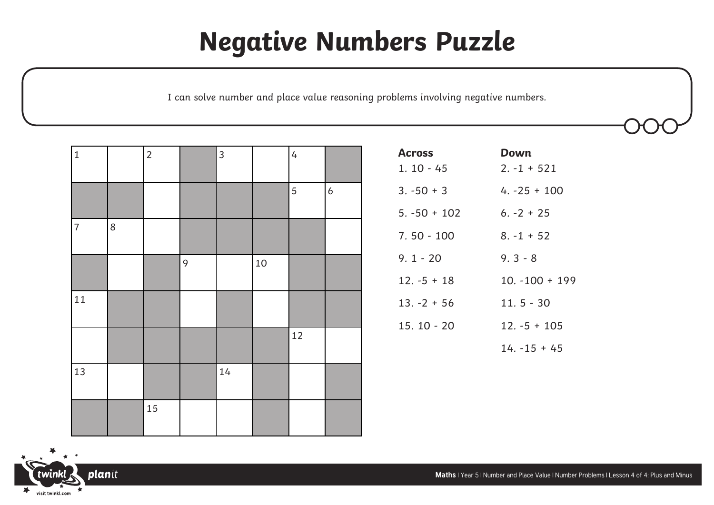## **Negative Numbers Puzzle**

I can solve number and place value reasoning problems involving negative numbers.

| $\mathbf 1$    |   | $\overline{2}$ |   | $\mathfrak{Z}$ |    | $\overline{4}$ |                  |
|----------------|---|----------------|---|----------------|----|----------------|------------------|
|                |   |                |   |                |    | $\mathbf 5$    | $\boldsymbol{6}$ |
| $\overline{7}$ | 8 |                |   |                |    |                |                  |
|                |   |                | 9 |                | 10 |                |                  |
| 11             |   |                |   |                |    |                |                  |
|                |   |                |   |                |    | 12             |                  |
| 13             |   |                |   | 14             |    |                |                  |
|                |   | 15             |   |                |    |                |                  |

| <b>Across</b>  | Down             |
|----------------|------------------|
| $1.10 - 45$    | $2. -1 + 521$    |
| $3. -50 + 3$   | $4. -25 + 100$   |
| $5. -50 + 102$ | $6. -2 + 25$     |
| $7.50 - 100$   | $8. -1 + 52$     |
| $9.1 - 20$     | $9.3 - 8$        |
| $12. -5 + 18$  | $10. -100 + 199$ |
| $13. -2 + 56$  | $11.5 - 30$      |
| $15.10 - 20$   | $12. -5 + 105$   |
|                | $14. -15 + 45$   |



**Maths** | Year 5 | Number and Place Value | Number Problems | Lesson 4 of 4: Plus and Minus